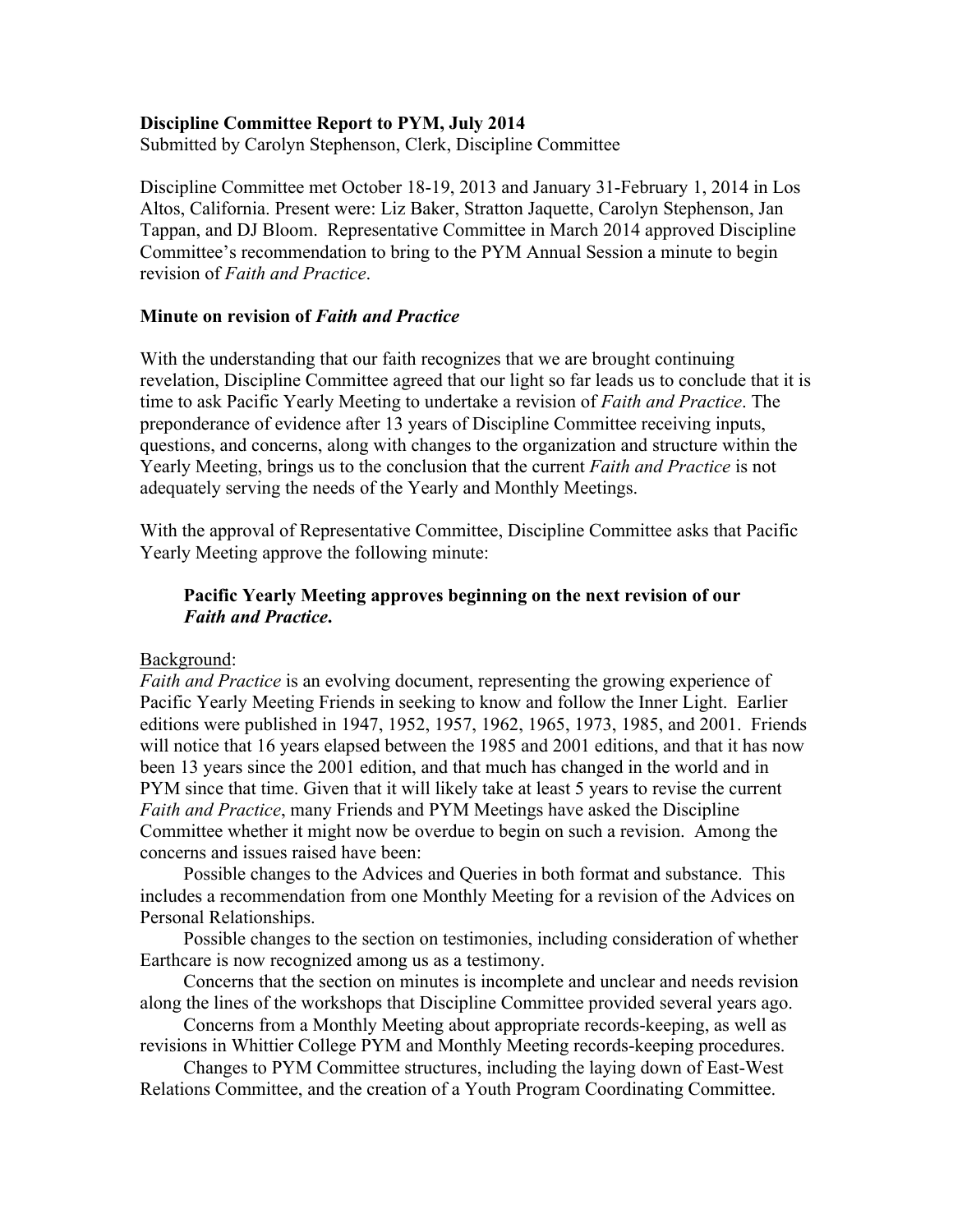### **Discipline Committee Report to PYM, July 2014**

Submitted by Carolyn Stephenson, Clerk, Discipline Committee

Discipline Committee met October 18-19, 2013 and January 31-February 1, 2014 in Los Altos, California. Present were: Liz Baker, Stratton Jaquette, Carolyn Stephenson, Jan Tappan, and DJ Bloom. Representative Committee in March 2014 approved Discipline Committee's recommendation to bring to the PYM Annual Session a minute to begin revision of *Faith and Practice*.

#### **Minute on revision of** *Faith and Practice*

With the understanding that our faith recognizes that we are brought continuing revelation, Discipline Committee agreed that our light so far leads us to conclude that it is time to ask Pacific Yearly Meeting to undertake a revision of *Faith and Practice*. The preponderance of evidence after 13 years of Discipline Committee receiving inputs, questions, and concerns, along with changes to the organization and structure within the Yearly Meeting, brings us to the conclusion that the current *Faith and Practice* is not adequately serving the needs of the Yearly and Monthly Meetings.

With the approval of Representative Committee, Discipline Committee asks that Pacific Yearly Meeting approve the following minute:

## **Pacific Yearly Meeting approves beginning on the next revision of our** *Faith and Practice***.**

#### Background:

*Faith and Practice* is an evolving document, representing the growing experience of Pacific Yearly Meeting Friends in seeking to know and follow the Inner Light. Earlier editions were published in 1947, 1952, 1957, 1962, 1965, 1973, 1985, and 2001. Friends will notice that 16 years elapsed between the 1985 and 2001 editions, and that it has now been 13 years since the 2001 edition, and that much has changed in the world and in PYM since that time. Given that it will likely take at least 5 years to revise the current *Faith and Practice*, many Friends and PYM Meetings have asked the Discipline Committee whether it might now be overdue to begin on such a revision. Among the concerns and issues raised have been:

Possible changes to the Advices and Queries in both format and substance. This includes a recommendation from one Monthly Meeting for a revision of the Advices on Personal Relationships.

Possible changes to the section on testimonies, including consideration of whether Earthcare is now recognized among us as a testimony.

Concerns that the section on minutes is incomplete and unclear and needs revision along the lines of the workshops that Discipline Committee provided several years ago.

Concerns from a Monthly Meeting about appropriate records-keeping, as well as revisions in Whittier College PYM and Monthly Meeting records-keeping procedures.

Changes to PYM Committee structures, including the laying down of East-West Relations Committee, and the creation of a Youth Program Coordinating Committee.